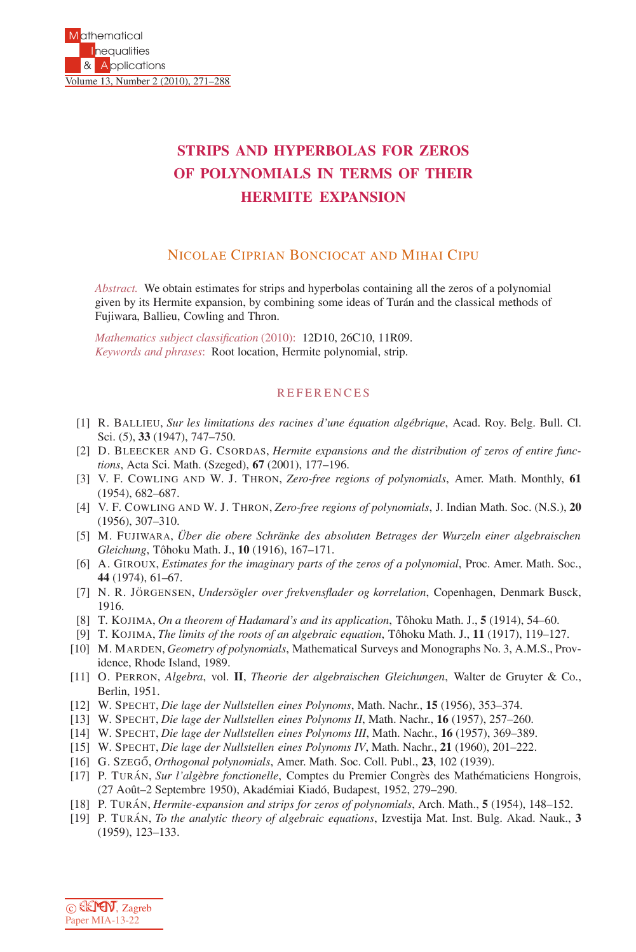## **STRIPS AND HYPERBOLAS FOR ZEROS OF POLYNOMIALS IN TERMS OF THEIR HERMITE EXPANSION**

## NICOLAE CIPRIAN BONCIOCAT AND MIHAI CIPU

*Abstract.* We obtain estimates for strips and hyperbolas containing all the zeros of a polynomial given by its Hermite expansion, by combining some ideas of Turán and the classical methods of Fujiwara, Ballieu, Cowling and Thron.

*Mathematics subject classification* (2010): 12D10, 26C10, 11R09. *Keywords and phrases*: Root location, Hermite polynomial, strip.

## REFERENCES

- [1] R. BALLIEU, *Sur les limitations des racines d'une ´equation alg´ebrique*, Acad. Roy. Belg. Bull. Cl. Sci. (5), **33** (1947), 747–750.
- [2] D. BLEECKER AND G. CSORDAS, *Hermite expansions and the distribution of zeros of entire functions*, Acta Sci. Math. (Szeged), **67** (2001), 177–196.
- [3] V. F. COWLING AND W. J. THRON, *Zero-free regions of polynomials*, Amer. Math. Monthly, **61** (1954), 682–687.
- [4] V. F. COWLING AND W. J. THRON, *Zero-free regions of polynomials*, J. Indian Math. Soc. (N.S.), **20** (1956), 307–310.
- [5] M. FUJIWARA, *Uber die obere Schr¨ ¨ anke des absoluten Betrages der Wurzeln einer algebraischen Gleichung*, Tˆohoku Math. J., **10** (1916), 167–171.
- [6] A. GIROUX, *Estimates for the imaginary parts of the zeros of a polynomial*, Proc. Amer. Math. Soc., **44** (1974), 61–67.
- [7] N. R. JÖRGENSEN, *Undersögler over frekvensflader og korrelation*, Copenhagen, Denmark Busck, 1916.
- [8] T. KOJIMA, *On a theorem of Hadamard's and its application*, Tôhoku Math. J., **5** (1914), **54–60.**
- [9] T. KOJIMA, *The limits of the roots of an algebraic equation*, Tôhoku Math. J., **11** (1917), 119–127.
- [10] M. MARDEN, *Geometry of polynomials*, Mathematical Surveys and Monographs No. 3, A.M.S., Providence, Rhode Island, 1989.
- [11] O. PERRON, *Algebra*, vol. **II**, *Theorie der algebraischen Gleichungen*, Walter de Gruyter & Co., Berlin, 1951.
- [12] W. SPECHT, *Die lage der Nullstellen eines Polynoms*, Math. Nachr., **15** (1956), 353–374.
- [13] W. SPECHT, *Die lage der Nullstellen eines Polynoms II*, Math. Nachr., **16** (1957), 257–260.
- [14] W. SPECHT, *Die lage der Nullstellen eines Polynoms III*, Math. Nachr., **16** (1957), 369–389.
- [15] W. SPECHT, *Die lage der Nullstellen eines Polynoms IV*, Math. Nachr., **21** (1960), 201–222.
- [16] G. Szegő, *Orthogonal polynomials*, Amer. Math. Soc. Coll. Publ., 23, 102 (1939).
- [17] P. TURÁN, *Sur l'algèbre fonctionelle*, Comptes du Premier Congrès des Mathématiciens Hongrois, (27 Août–2 Septembre 1950), Akadémiai Kiadó, Budapest, 1952, 279–290.
- [18] P. TURAN´ , *Hermite-expansion and strips for zeros of polynomials*, Arch. Math., **5** (1954), 148–152.
- [19] P. TURAN´ , *To the analytic theory of algebraic equations*, Izvestija Mat. Inst. Bulg. Akad. Nauk., **3** (1959), 123–133.